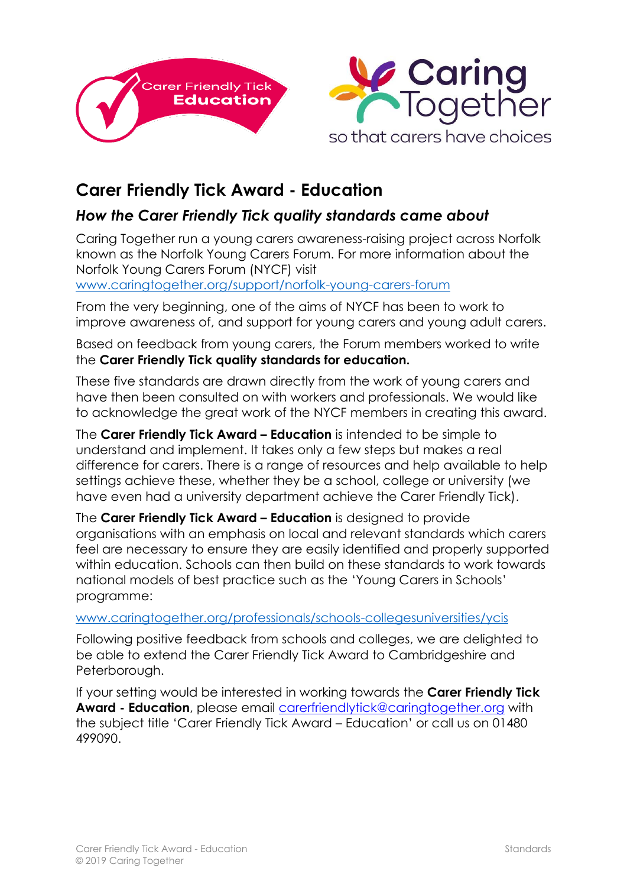



## **Carer Friendly Tick Award - Education**

## *How the Carer Friendly Tick quality standards came about*

Caring Together run a young carers awareness-raising project across Norfolk known as the Norfolk Young Carers Forum. For more information about the Norfolk Young Carers Forum (NYCF) visit

[www.caringtogether.org/support/norfolk-young-carers-forum](http://www.caringtogether.org/support/norfolk-young-carers-forum)

From the very beginning, one of the aims of NYCF has been to work to improve awareness of, and support for young carers and young adult carers.

Based on feedback from young carers, the Forum members worked to write the **Carer Friendly Tick quality standards for education.**

These five standards are drawn directly from the work of young carers and have then been consulted on with workers and professionals. We would like to acknowledge the great work of the NYCF members in creating this award.

The **Carer Friendly Tick Award – Education** is intended to be simple to understand and implement. It takes only a few steps but makes a real difference for carers. There is a range of resources and help available to help settings achieve these, whether they be a school, college or university (we have even had a university department achieve the Carer Friendly Tick).

The **Carer Friendly Tick Award – Education** is designed to provide organisations with an emphasis on local and relevant standards which carers feel are necessary to ensure they are easily identified and properly supported within education. Schools can then build on these standards to work towards national models of best practice such as the 'Young Carers in Schools' programme:

## [www.caringtogether.org/professionals/schools-collegesuniversities/ycis](http://www.caringtoghether.org/professionals/schools-collegesuniversities/ycis)

Following positive feedback from schools and colleges, we are delighted to be able to extend the Carer Friendly Tick Award to Cambridgeshire and Peterborough.

If your setting would be interested in working towards the **Carer Friendly Tick Award - Education**, please email [carerfriendlytick@c](mailto:carerfriendlytick@carerstrustcpn.org)aringtogether.org with the subject title 'Carer Friendly Tick Award – Education' or call us on 01480 499090.